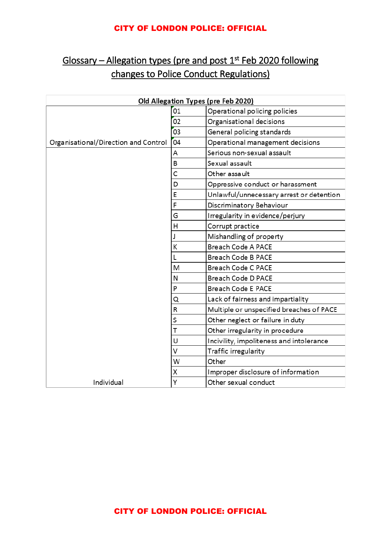## CITY OF LONDON POLICE: OFFICIAL

## Glossary – Allegation types (pre and post 1<sup>st</sup> Feb 2020 following changes to Police Conduct Regulations)

| Old Allegation Types (pre Feb 2020)  |    |                                          |
|--------------------------------------|----|------------------------------------------|
|                                      | 01 | Operational policing policies            |
|                                      | 02 | Organisational decisions                 |
|                                      | 03 | General policing standards               |
| Organisational/Direction and Control | 04 | Operational management decisions         |
|                                      | А  | Serious non-sexual assault               |
|                                      | В  | Sexual assault                           |
|                                      | C  | Other assault                            |
|                                      | D  | Oppressive conduct or harassment         |
|                                      | E  | Unlawful/unnecessary arrest or detention |
|                                      | F  | Discriminatory Behaviour                 |
|                                      | G  | Irregularity in evidence/perjury         |
|                                      | Η  | Corrupt practice                         |
|                                      | J  | Mishandling of property                  |
|                                      | К  | <b>Breach Code A PACE</b>                |
|                                      | L  | Breach Code B PACE                       |
|                                      | M  | Breach Code C PACE                       |
|                                      | Ν  | Breach Code D PACE                       |
|                                      | P  | Breach Code E PACE                       |
|                                      | Q  | Lack of fairness and impartiality        |
|                                      | R  | Multiple or unspecified breaches of PACE |
|                                      | S  | Other neglect or failure in duty         |
|                                      | T  | Other irregularity in procedure          |
|                                      | U  | Incivility, impoliteness and intolerance |
|                                      | V  | Traffic irregularity                     |
|                                      | W  | Other                                    |
|                                      | Χ  | Improper disclosure of information       |
| Individual                           | Υ  | Other sexual conduct                     |